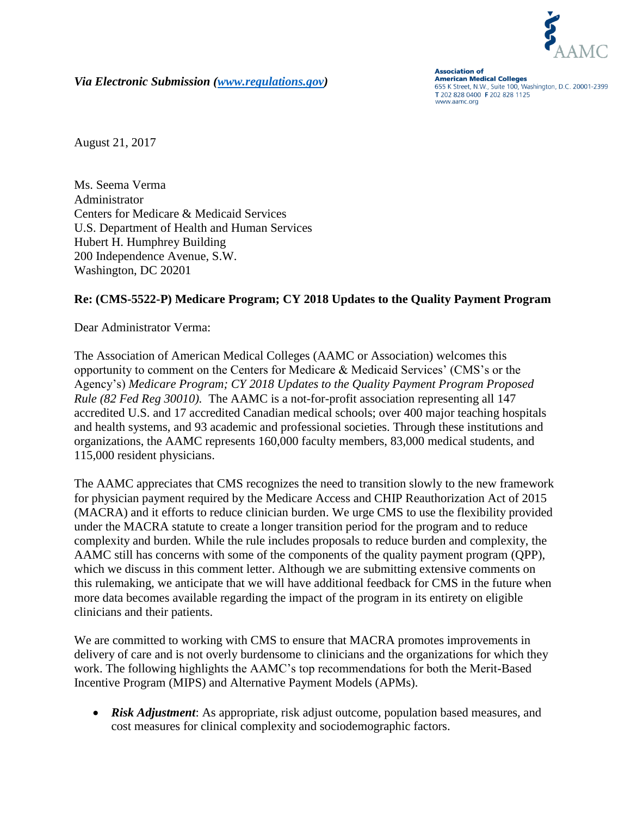

*Via Electronic Submission [\(www.regulations.gov\)](http://www.regulations.gov/)* 

**Association of American Medical Colleges** 655 K Street, N.W., Suite 100, Washington, D.C. 20001-2399 T 202 828 0400 F 202 828 1125 www.aamc.org

August 21, 2017

Ms. Seema Verma Administrator Centers for Medicare & Medicaid Services U.S. Department of Health and Human Services Hubert H. Humphrey Building 200 Independence Avenue, S.W. Washington, DC 20201

## **Re: (CMS-5522-P) Medicare Program; CY 2018 Updates to the Quality Payment Program**

Dear Administrator Verma:

The Association of American Medical Colleges (AAMC or Association) welcomes this opportunity to comment on the Centers for Medicare & Medicaid Services' (CMS's or the Agency's) *Medicare Program; CY 2018 Updates to the Quality Payment Program Proposed Rule (82 Fed Reg 30010).* The AAMC is a not-for-profit association representing all 147 accredited U.S. and 17 accredited Canadian medical schools; over 400 major teaching hospitals and health systems, and 93 academic and professional societies. Through these institutions and organizations, the AAMC represents 160,000 faculty members, 83,000 medical students, and 115,000 resident physicians.

The AAMC appreciates that CMS recognizes the need to transition slowly to the new framework for physician payment required by the Medicare Access and CHIP Reauthorization Act of 2015 (MACRA) and it efforts to reduce clinician burden. We urge CMS to use the flexibility provided under the MACRA statute to create a longer transition period for the program and to reduce complexity and burden. While the rule includes proposals to reduce burden and complexity, the AAMC still has concerns with some of the components of the quality payment program (QPP), which we discuss in this comment letter. Although we are submitting extensive comments on this rulemaking, we anticipate that we will have additional feedback for CMS in the future when more data becomes available regarding the impact of the program in its entirety on eligible clinicians and their patients.

We are committed to working with CMS to ensure that MACRA promotes improvements in delivery of care and is not overly burdensome to clinicians and the organizations for which they work. The following highlights the AAMC's top recommendations for both the Merit-Based Incentive Program (MIPS) and Alternative Payment Models (APMs).

 *Risk Adjustment*: As appropriate, risk adjust outcome, population based measures, and cost measures for clinical complexity and sociodemographic factors.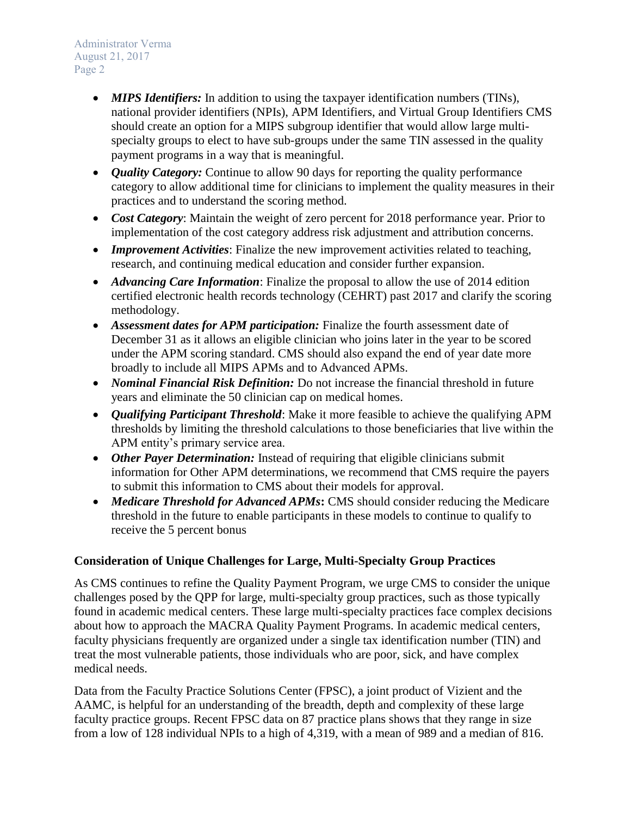- *MIPS Identifiers:* In addition to using the taxpayer identification numbers (TINs), national provider identifiers (NPIs), APM Identifiers, and Virtual Group Identifiers CMS should create an option for a MIPS subgroup identifier that would allow large multispecialty groups to elect to have sub-groups under the same TIN assessed in the quality payment programs in a way that is meaningful.
- *Quality Category:* Continue to allow 90 days for reporting the quality performance category to allow additional time for clinicians to implement the quality measures in their practices and to understand the scoring method.
- *Cost Category*: Maintain the weight of zero percent for 2018 performance year. Prior to implementation of the cost category address risk adjustment and attribution concerns.
- *Improvement Activities*: Finalize the new improvement activities related to teaching, research, and continuing medical education and consider further expansion.
- *Advancing Care Information*: Finalize the proposal to allow the use of 2014 edition certified electronic health records technology (CEHRT) past 2017 and clarify the scoring methodology.
- *Assessment dates for APM participation:* Finalize the fourth assessment date of December 31 as it allows an eligible clinician who joins later in the year to be scored under the APM scoring standard. CMS should also expand the end of year date more broadly to include all MIPS APMs and to Advanced APMs.
- *Nominal Financial Risk Definition:* Do not increase the financial threshold in future years and eliminate the 50 clinician cap on medical homes.
- *Qualifying Participant Threshold*: Make it more feasible to achieve the qualifying APM thresholds by limiting the threshold calculations to those beneficiaries that live within the APM entity's primary service area.
- *Other Payer Determination:* Instead of requiring that eligible clinicians submit information for Other APM determinations, we recommend that CMS require the payers to submit this information to CMS about their models for approval.
- Medicare Threshold for Advanced APMs**:** CMS should consider reducing the Medicare threshold in the future to enable participants in these models to continue to qualify to receive the 5 percent bonus

# **Consideration of Unique Challenges for Large, Multi-Specialty Group Practices**

As CMS continues to refine the Quality Payment Program, we urge CMS to consider the unique challenges posed by the QPP for large, multi-specialty group practices, such as those typically found in academic medical centers. These large multi-specialty practices face complex decisions about how to approach the MACRA Quality Payment Programs. In academic medical centers, faculty physicians frequently are organized under a single tax identification number (TIN) and treat the most vulnerable patients, those individuals who are poor, sick, and have complex medical needs.

Data from the Faculty Practice Solutions Center (FPSC), a joint product of Vizient and the AAMC, is helpful for an understanding of the breadth, depth and complexity of these large faculty practice groups. Recent FPSC data on 87 practice plans shows that they range in size from a low of 128 individual NPIs to a high of 4,319, with a mean of 989 and a median of 816.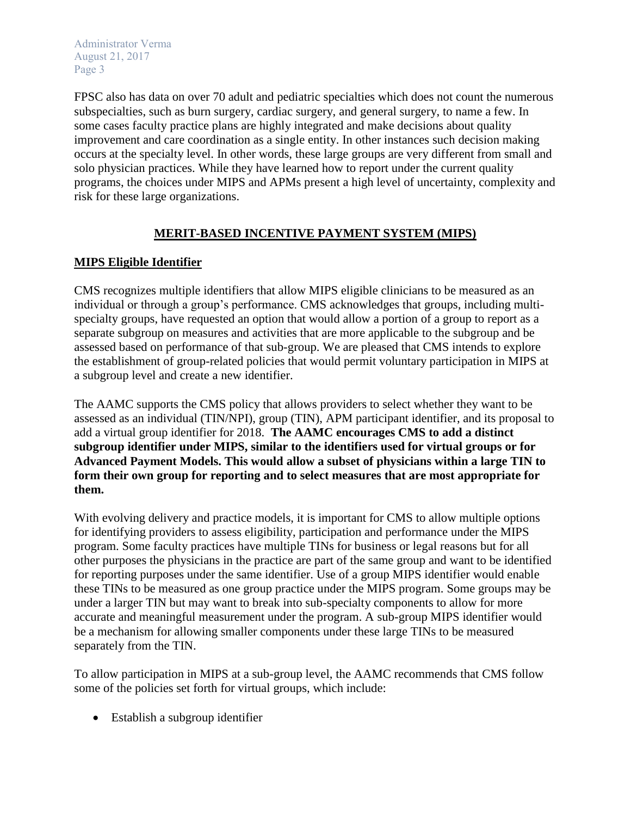FPSC also has data on over 70 adult and pediatric specialties which does not count the numerous subspecialties, such as burn surgery, cardiac surgery, and general surgery, to name a few. In some cases faculty practice plans are highly integrated and make decisions about quality improvement and care coordination as a single entity. In other instances such decision making occurs at the specialty level. In other words, these large groups are very different from small and solo physician practices. While they have learned how to report under the current quality programs, the choices under MIPS and APMs present a high level of uncertainty, complexity and risk for these large organizations.

# **MERIT-BASED INCENTIVE PAYMENT SYSTEM (MIPS)**

# **MIPS Eligible Identifier**

CMS recognizes multiple identifiers that allow MIPS eligible clinicians to be measured as an individual or through a group's performance. CMS acknowledges that groups, including multispecialty groups, have requested an option that would allow a portion of a group to report as a separate subgroup on measures and activities that are more applicable to the subgroup and be assessed based on performance of that sub-group. We are pleased that CMS intends to explore the establishment of group-related policies that would permit voluntary participation in MIPS at a subgroup level and create a new identifier.

The AAMC supports the CMS policy that allows providers to select whether they want to be assessed as an individual (TIN/NPI), group (TIN), APM participant identifier, and its proposal to add a virtual group identifier for 2018. **The AAMC encourages CMS to add a distinct subgroup identifier under MIPS, similar to the identifiers used for virtual groups or for Advanced Payment Models. This would allow a subset of physicians within a large TIN to form their own group for reporting and to select measures that are most appropriate for them.**

With evolving delivery and practice models, it is important for CMS to allow multiple options for identifying providers to assess eligibility, participation and performance under the MIPS program. Some faculty practices have multiple TINs for business or legal reasons but for all other purposes the physicians in the practice are part of the same group and want to be identified for reporting purposes under the same identifier. Use of a group MIPS identifier would enable these TINs to be measured as one group practice under the MIPS program. Some groups may be under a larger TIN but may want to break into sub-specialty components to allow for more accurate and meaningful measurement under the program. A sub-group MIPS identifier would be a mechanism for allowing smaller components under these large TINs to be measured separately from the TIN.

To allow participation in MIPS at a sub-group level, the AAMC recommends that CMS follow some of the policies set forth for virtual groups, which include:

Establish a subgroup identifier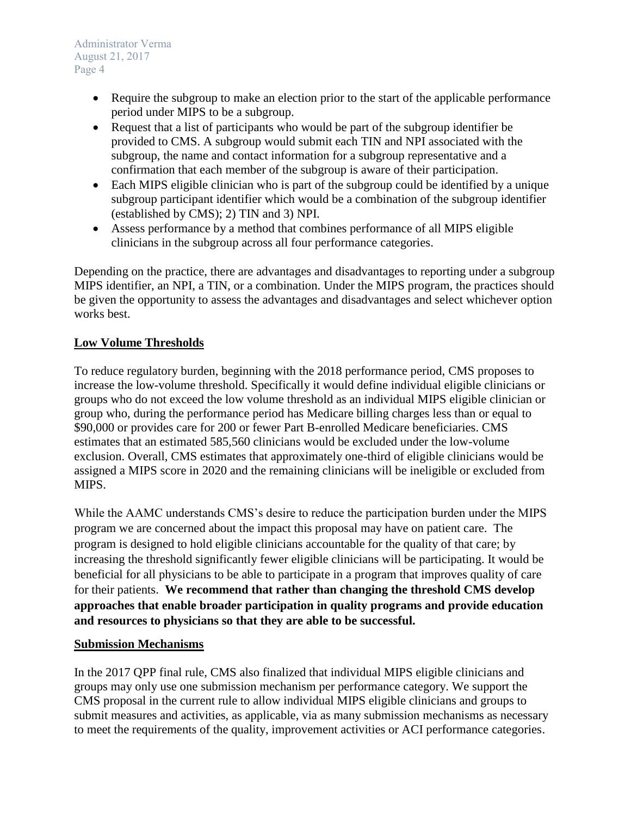- Require the subgroup to make an election prior to the start of the applicable performance period under MIPS to be a subgroup.
- Request that a list of participants who would be part of the subgroup identifier be provided to CMS. A subgroup would submit each TIN and NPI associated with the subgroup, the name and contact information for a subgroup representative and a confirmation that each member of the subgroup is aware of their participation.
- Each MIPS eligible clinician who is part of the subgroup could be identified by a unique subgroup participant identifier which would be a combination of the subgroup identifier (established by CMS); 2) TIN and 3) NPI.
- Assess performance by a method that combines performance of all MIPS eligible clinicians in the subgroup across all four performance categories.

Depending on the practice, there are advantages and disadvantages to reporting under a subgroup MIPS identifier, an NPI, a TIN, or a combination. Under the MIPS program, the practices should be given the opportunity to assess the advantages and disadvantages and select whichever option works best.

# **Low Volume Thresholds**

To reduce regulatory burden, beginning with the 2018 performance period, CMS proposes to increase the low-volume threshold. Specifically it would define individual eligible clinicians or groups who do not exceed the low volume threshold as an individual MIPS eligible clinician or group who, during the performance period has Medicare billing charges less than or equal to \$90,000 or provides care for 200 or fewer Part B-enrolled Medicare beneficiaries. CMS estimates that an estimated 585,560 clinicians would be excluded under the low-volume exclusion. Overall, CMS estimates that approximately one-third of eligible clinicians would be assigned a MIPS score in 2020 and the remaining clinicians will be ineligible or excluded from MIPS.

While the AAMC understands CMS's desire to reduce the participation burden under the MIPS program we are concerned about the impact this proposal may have on patient care. The program is designed to hold eligible clinicians accountable for the quality of that care; by increasing the threshold significantly fewer eligible clinicians will be participating. It would be beneficial for all physicians to be able to participate in a program that improves quality of care for their patients. **We recommend that rather than changing the threshold CMS develop approaches that enable broader participation in quality programs and provide education and resources to physicians so that they are able to be successful.**

## **Submission Mechanisms**

In the 2017 QPP final rule, CMS also finalized that individual MIPS eligible clinicians and groups may only use one submission mechanism per performance category. We support the CMS proposal in the current rule to allow individual MIPS eligible clinicians and groups to submit measures and activities, as applicable, via as many submission mechanisms as necessary to meet the requirements of the quality, improvement activities or ACI performance categories.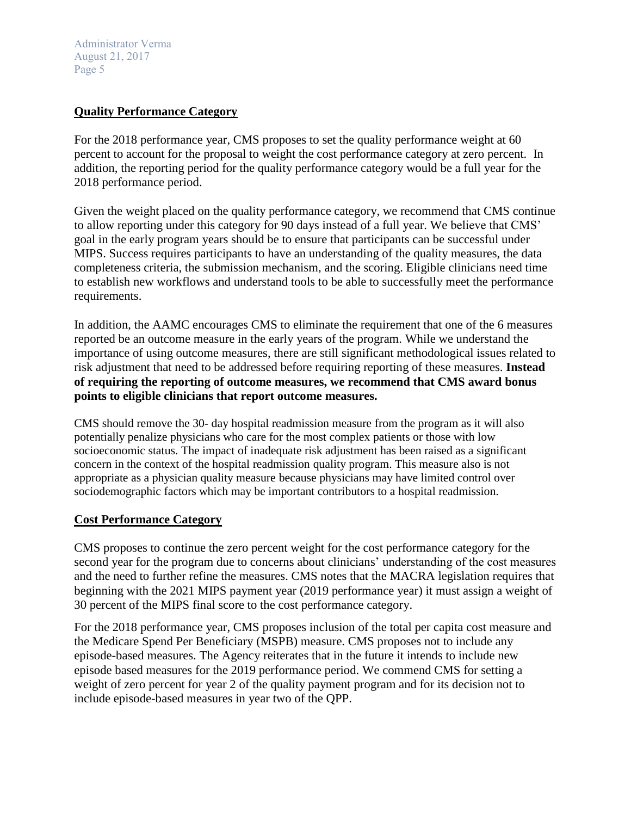#### **Quality Performance Category**

For the 2018 performance year, CMS proposes to set the quality performance weight at 60 percent to account for the proposal to weight the cost performance category at zero percent. In addition, the reporting period for the quality performance category would be a full year for the 2018 performance period.

Given the weight placed on the quality performance category, we recommend that CMS continue to allow reporting under this category for 90 days instead of a full year. We believe that CMS' goal in the early program years should be to ensure that participants can be successful under MIPS. Success requires participants to have an understanding of the quality measures, the data completeness criteria, the submission mechanism, and the scoring. Eligible clinicians need time to establish new workflows and understand tools to be able to successfully meet the performance requirements.

In addition, the AAMC encourages CMS to eliminate the requirement that one of the 6 measures reported be an outcome measure in the early years of the program. While we understand the importance of using outcome measures, there are still significant methodological issues related to risk adjustment that need to be addressed before requiring reporting of these measures. **Instead of requiring the reporting of outcome measures, we recommend that CMS award bonus points to eligible clinicians that report outcome measures.**

CMS should remove the 30- day hospital readmission measure from the program as it will also potentially penalize physicians who care for the most complex patients or those with low socioeconomic status. The impact of inadequate risk adjustment has been raised as a significant concern in the context of the hospital readmission quality program. This measure also is not appropriate as a physician quality measure because physicians may have limited control over sociodemographic factors which may be important contributors to a hospital readmission.

#### **Cost Performance Category**

CMS proposes to continue the zero percent weight for the cost performance category for the second year for the program due to concerns about clinicians' understanding of the cost measures and the need to further refine the measures. CMS notes that the MACRA legislation requires that beginning with the 2021 MIPS payment year (2019 performance year) it must assign a weight of 30 percent of the MIPS final score to the cost performance category.

For the 2018 performance year, CMS proposes inclusion of the total per capita cost measure and the Medicare Spend Per Beneficiary (MSPB) measure. CMS proposes not to include any episode-based measures. The Agency reiterates that in the future it intends to include new episode based measures for the 2019 performance period. We commend CMS for setting a weight of zero percent for year 2 of the quality payment program and for its decision not to include episode-based measures in year two of the QPP.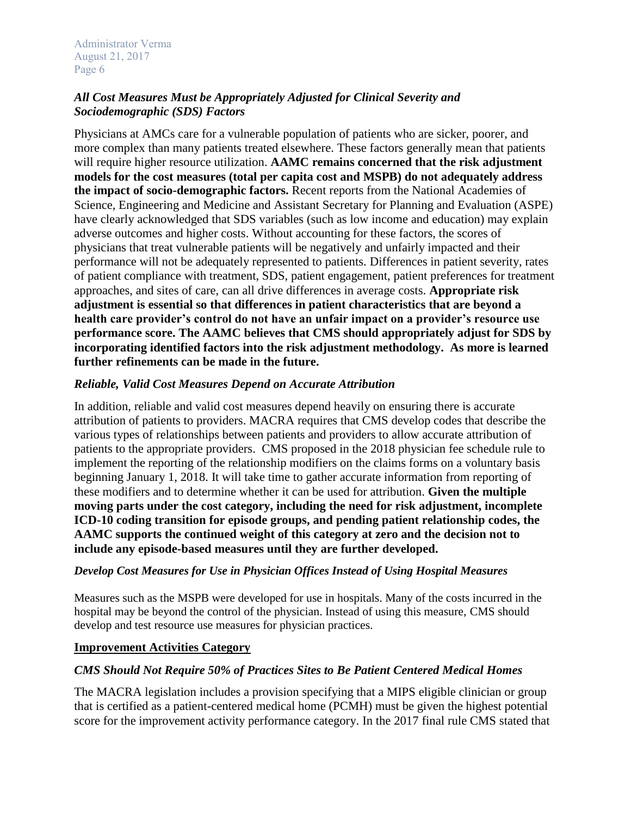# *All Cost Measures Must be Appropriately Adjusted for Clinical Severity and Sociodemographic (SDS) Factors*

Physicians at AMCs care for a vulnerable population of patients who are sicker, poorer, and more complex than many patients treated elsewhere. These factors generally mean that patients will require higher resource utilization. **AAMC remains concerned that the risk adjustment models for the cost measures (total per capita cost and MSPB) do not adequately address the impact of socio-demographic factors.** Recent reports from the National Academies of Science, Engineering and Medicine and Assistant Secretary for Planning and Evaluation (ASPE) have clearly acknowledged that SDS variables (such as low income and education) may explain adverse outcomes and higher costs. Without accounting for these factors, the scores of physicians that treat vulnerable patients will be negatively and unfairly impacted and their performance will not be adequately represented to patients. Differences in patient severity, rates of patient compliance with treatment, SDS, patient engagement, patient preferences for treatment approaches, and sites of care, can all drive differences in average costs. **Appropriate risk adjustment is essential so that differences in patient characteristics that are beyond a health care provider's control do not have an unfair impact on a provider's resource use performance score. The AAMC believes that CMS should appropriately adjust for SDS by incorporating identified factors into the risk adjustment methodology. As more is learned further refinements can be made in the future.** 

# *Reliable, Valid Cost Measures Depend on Accurate Attribution*

In addition, reliable and valid cost measures depend heavily on ensuring there is accurate attribution of patients to providers. MACRA requires that CMS develop codes that describe the various types of relationships between patients and providers to allow accurate attribution of patients to the appropriate providers. CMS proposed in the 2018 physician fee schedule rule to implement the reporting of the relationship modifiers on the claims forms on a voluntary basis beginning January 1, 2018. It will take time to gather accurate information from reporting of these modifiers and to determine whether it can be used for attribution. **Given the multiple moving parts under the cost category, including the need for risk adjustment, incomplete ICD-10 coding transition for episode groups, and pending patient relationship codes, the AAMC supports the continued weight of this category at zero and the decision not to include any episode-based measures until they are further developed.**

## *Develop Cost Measures for Use in Physician Offices Instead of Using Hospital Measures*

Measures such as the MSPB were developed for use in hospitals. Many of the costs incurred in the hospital may be beyond the control of the physician. Instead of using this measure, CMS should develop and test resource use measures for physician practices.

#### **Improvement Activities Category**

## *CMS Should Not Require 50% of Practices Sites to Be Patient Centered Medical Homes*

The MACRA legislation includes a provision specifying that a MIPS eligible clinician or group that is certified as a patient-centered medical home (PCMH) must be given the highest potential score for the improvement activity performance category. In the 2017 final rule CMS stated that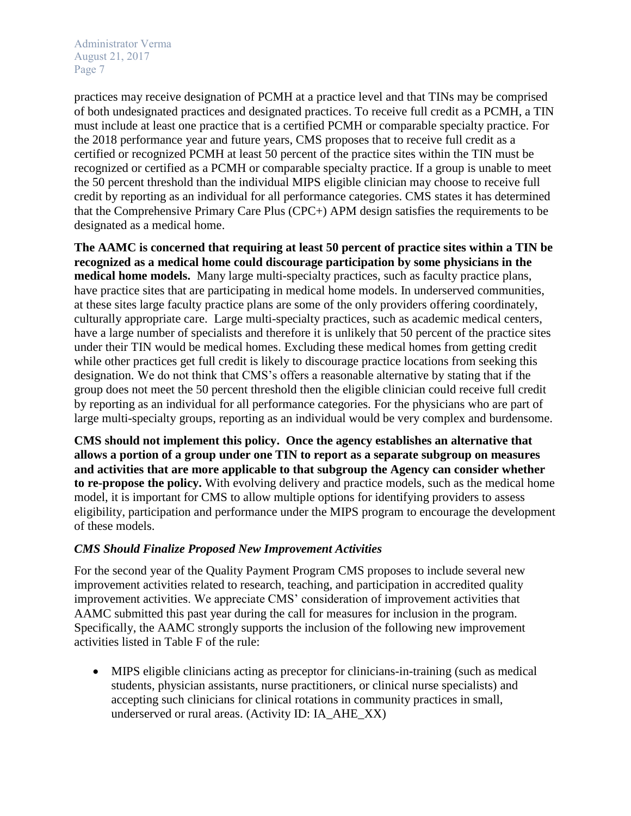practices may receive designation of PCMH at a practice level and that TINs may be comprised of both undesignated practices and designated practices. To receive full credit as a PCMH, a TIN must include at least one practice that is a certified PCMH or comparable specialty practice. For the 2018 performance year and future years, CMS proposes that to receive full credit as a certified or recognized PCMH at least 50 percent of the practice sites within the TIN must be recognized or certified as a PCMH or comparable specialty practice. If a group is unable to meet the 50 percent threshold than the individual MIPS eligible clinician may choose to receive full credit by reporting as an individual for all performance categories. CMS states it has determined that the Comprehensive Primary Care Plus (CPC+) APM design satisfies the requirements to be designated as a medical home.

**The AAMC is concerned that requiring at least 50 percent of practice sites within a TIN be recognized as a medical home could discourage participation by some physicians in the medical home models.** Many large multi-specialty practices, such as faculty practice plans, have practice sites that are participating in medical home models. In underserved communities, at these sites large faculty practice plans are some of the only providers offering coordinately, culturally appropriate care. Large multi-specialty practices, such as academic medical centers, have a large number of specialists and therefore it is unlikely that 50 percent of the practice sites under their TIN would be medical homes. Excluding these medical homes from getting credit while other practices get full credit is likely to discourage practice locations from seeking this designation. We do not think that CMS's offers a reasonable alternative by stating that if the group does not meet the 50 percent threshold then the eligible clinician could receive full credit by reporting as an individual for all performance categories. For the physicians who are part of large multi-specialty groups, reporting as an individual would be very complex and burdensome.

**CMS should not implement this policy. Once the agency establishes an alternative that allows a portion of a group under one TIN to report as a separate subgroup on measures and activities that are more applicable to that subgroup the Agency can consider whether to re-propose the policy.** With evolving delivery and practice models, such as the medical home model, it is important for CMS to allow multiple options for identifying providers to assess eligibility, participation and performance under the MIPS program to encourage the development of these models.

## *CMS Should Finalize Proposed New Improvement Activities*

For the second year of the Quality Payment Program CMS proposes to include several new improvement activities related to research, teaching, and participation in accredited quality improvement activities. We appreciate CMS' consideration of improvement activities that AAMC submitted this past year during the call for measures for inclusion in the program. Specifically, the AAMC strongly supports the inclusion of the following new improvement activities listed in Table F of the rule:

 MIPS eligible clinicians acting as preceptor for clinicians-in-training (such as medical students, physician assistants, nurse practitioners, or clinical nurse specialists) and accepting such clinicians for clinical rotations in community practices in small, underserved or rural areas. (Activity ID: IA\_AHE\_XX)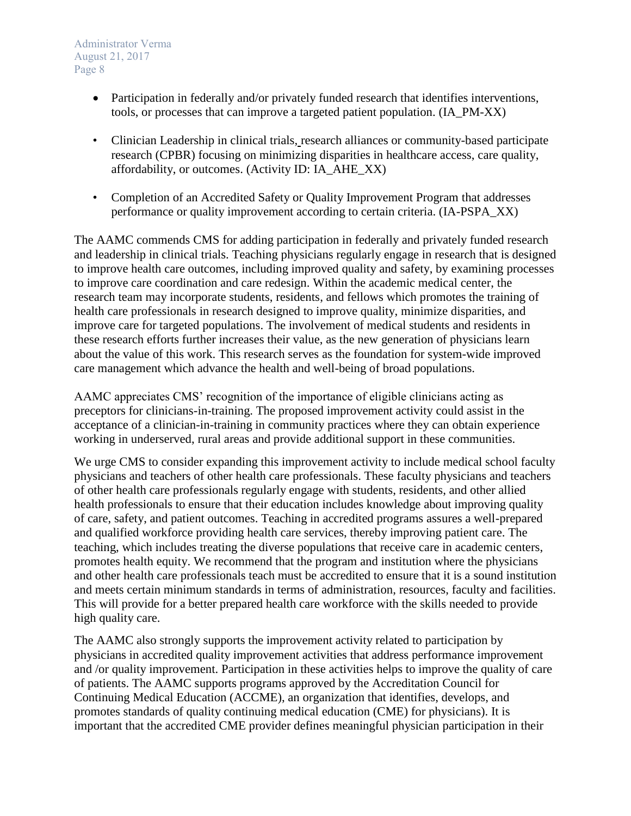- Participation in federally and/or privately funded research that identifies interventions, tools, or processes that can improve a targeted patient population. (IA\_PM-XX)
- Clinician Leadership in clinical trials, research alliances or community-based participate research (CPBR) focusing on minimizing disparities in healthcare access, care quality, affordability, or outcomes. (Activity ID: IA\_AHE\_XX)
- Completion of an Accredited Safety or Quality Improvement Program that addresses performance or quality improvement according to certain criteria. (IA-PSPA\_XX)

The AAMC commends CMS for adding participation in federally and privately funded research and leadership in clinical trials. Teaching physicians regularly engage in research that is designed to improve health care outcomes, including improved quality and safety, by examining processes to improve care coordination and care redesign. Within the academic medical center, the research team may incorporate students, residents, and fellows which promotes the training of health care professionals in research designed to improve quality, minimize disparities, and improve care for targeted populations. The involvement of medical students and residents in these research efforts further increases their value, as the new generation of physicians learn about the value of this work. This research serves as the foundation for system-wide improved care management which advance the health and well-being of broad populations.

AAMC appreciates CMS' recognition of the importance of eligible clinicians acting as preceptors for clinicians-in-training. The proposed improvement activity could assist in the acceptance of a clinician-in-training in community practices where they can obtain experience working in underserved, rural areas and provide additional support in these communities.

We urge CMS to consider expanding this improvement activity to include medical school faculty physicians and teachers of other health care professionals. These faculty physicians and teachers of other health care professionals regularly engage with students, residents, and other allied health professionals to ensure that their education includes knowledge about improving quality of care, safety, and patient outcomes. Teaching in accredited programs assures a well-prepared and qualified workforce providing health care services, thereby improving patient care. The teaching, which includes treating the diverse populations that receive care in academic centers, promotes health equity. We recommend that the program and institution where the physicians and other health care professionals teach must be accredited to ensure that it is a sound institution and meets certain minimum standards in terms of administration, resources, faculty and facilities. This will provide for a better prepared health care workforce with the skills needed to provide high quality care.

The AAMC also strongly supports the improvement activity related to participation by physicians in accredited quality improvement activities that address performance improvement and /or quality improvement. Participation in these activities helps to improve the quality of care of patients. The AAMC supports programs approved by the Accreditation Council for Continuing Medical Education (ACCME), an organization that identifies, develops, and promotes standards of quality continuing medical education (CME) for physicians). It is important that the accredited CME provider defines meaningful physician participation in their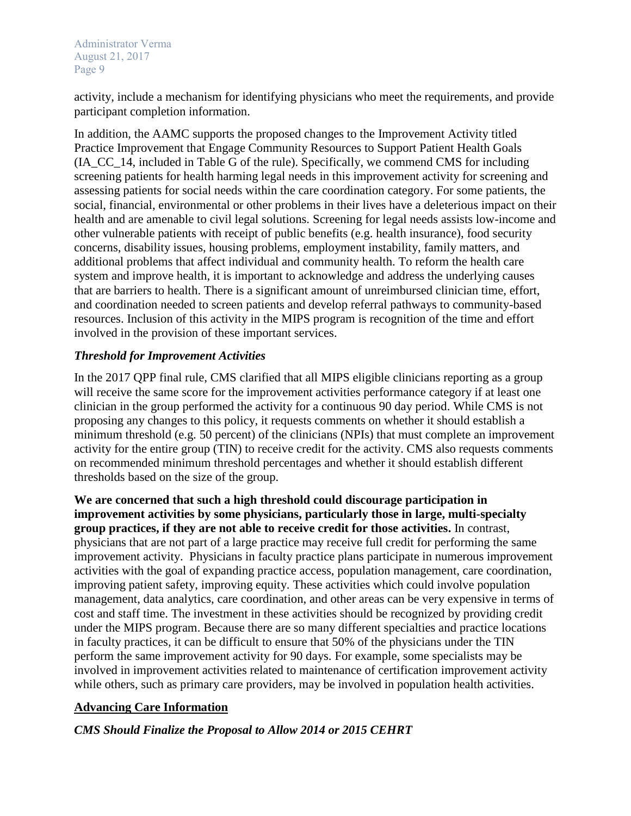activity, include a mechanism for identifying physicians who meet the requirements, and provide participant completion information.

In addition, the AAMC supports the proposed changes to the Improvement Activity titled Practice Improvement that Engage Community Resources to Support Patient Health Goals (IA\_CC\_14, included in Table G of the rule). Specifically, we commend CMS for including screening patients for health harming legal needs in this improvement activity for screening and assessing patients for social needs within the care coordination category. For some patients, the social, financial, environmental or other problems in their lives have a deleterious impact on their health and are amenable to civil legal solutions. Screening for legal needs assists low-income and other vulnerable patients with receipt of public benefits (e.g. health insurance), food security concerns, disability issues, housing problems, employment instability, family matters, and additional problems that affect individual and community health. To reform the health care system and improve health, it is important to acknowledge and address the underlying causes that are barriers to health. There is a significant amount of unreimbursed clinician time, effort, and coordination needed to screen patients and develop referral pathways to community-based resources. Inclusion of this activity in the MIPS program is recognition of the time and effort involved in the provision of these important services.

## *Threshold for Improvement Activities*

In the 2017 QPP final rule, CMS clarified that all MIPS eligible clinicians reporting as a group will receive the same score for the improvement activities performance category if at least one clinician in the group performed the activity for a continuous 90 day period. While CMS is not proposing any changes to this policy, it requests comments on whether it should establish a minimum threshold (e.g. 50 percent) of the clinicians (NPIs) that must complete an improvement activity for the entire group (TIN) to receive credit for the activity. CMS also requests comments on recommended minimum threshold percentages and whether it should establish different thresholds based on the size of the group.

**We are concerned that such a high threshold could discourage participation in improvement activities by some physicians, particularly those in large, multi-specialty group practices, if they are not able to receive credit for those activities.** In contrast, physicians that are not part of a large practice may receive full credit for performing the same improvement activity. Physicians in faculty practice plans participate in numerous improvement activities with the goal of expanding practice access, population management, care coordination, improving patient safety, improving equity. These activities which could involve population management, data analytics, care coordination, and other areas can be very expensive in terms of cost and staff time. The investment in these activities should be recognized by providing credit under the MIPS program. Because there are so many different specialties and practice locations in faculty practices, it can be difficult to ensure that 50% of the physicians under the TIN perform the same improvement activity for 90 days. For example, some specialists may be involved in improvement activities related to maintenance of certification improvement activity while others, such as primary care providers, may be involved in population health activities.

## **Advancing Care Information**

## *CMS Should Finalize the Proposal to Allow 2014 or 2015 CEHRT*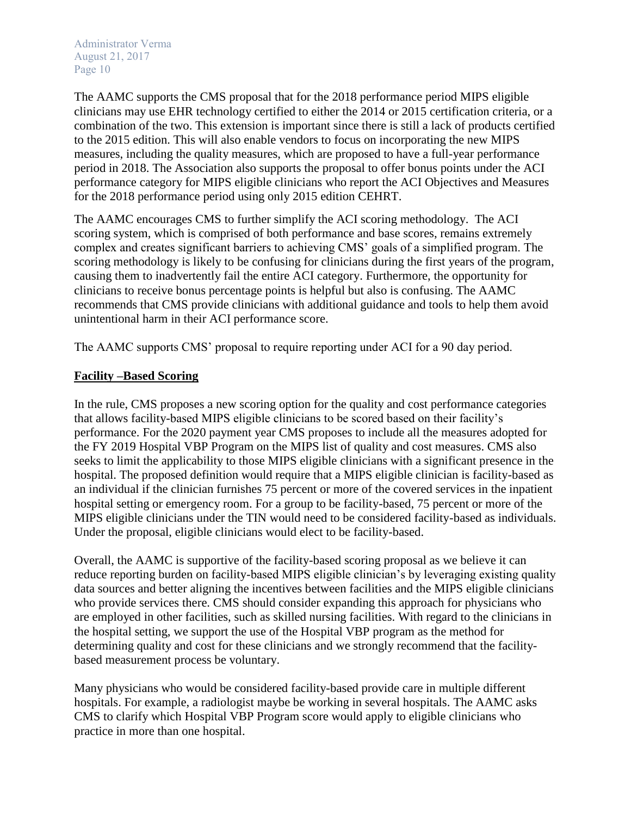The AAMC supports the CMS proposal that for the 2018 performance period MIPS eligible clinicians may use EHR technology certified to either the 2014 or 2015 certification criteria, or a combination of the two. This extension is important since there is still a lack of products certified to the 2015 edition. This will also enable vendors to focus on incorporating the new MIPS measures, including the quality measures, which are proposed to have a full-year performance period in 2018. The Association also supports the proposal to offer bonus points under the ACI performance category for MIPS eligible clinicians who report the ACI Objectives and Measures for the 2018 performance period using only 2015 edition CEHRT.

The AAMC encourages CMS to further simplify the ACI scoring methodology. The ACI scoring system, which is comprised of both performance and base scores, remains extremely complex and creates significant barriers to achieving CMS' goals of a simplified program. The scoring methodology is likely to be confusing for clinicians during the first years of the program, causing them to inadvertently fail the entire ACI category. Furthermore, the opportunity for clinicians to receive bonus percentage points is helpful but also is confusing. The AAMC recommends that CMS provide clinicians with additional guidance and tools to help them avoid unintentional harm in their ACI performance score.

The AAMC supports CMS' proposal to require reporting under ACI for a 90 day period.

#### **Facility –Based Scoring**

In the rule, CMS proposes a new scoring option for the quality and cost performance categories that allows facility-based MIPS eligible clinicians to be scored based on their facility's performance. For the 2020 payment year CMS proposes to include all the measures adopted for the FY 2019 Hospital VBP Program on the MIPS list of quality and cost measures. CMS also seeks to limit the applicability to those MIPS eligible clinicians with a significant presence in the hospital. The proposed definition would require that a MIPS eligible clinician is facility-based as an individual if the clinician furnishes 75 percent or more of the covered services in the inpatient hospital setting or emergency room. For a group to be facility-based, 75 percent or more of the MIPS eligible clinicians under the TIN would need to be considered facility-based as individuals. Under the proposal, eligible clinicians would elect to be facility-based.

Overall, the AAMC is supportive of the facility-based scoring proposal as we believe it can reduce reporting burden on facility-based MIPS eligible clinician's by leveraging existing quality data sources and better aligning the incentives between facilities and the MIPS eligible clinicians who provide services there. CMS should consider expanding this approach for physicians who are employed in other facilities, such as skilled nursing facilities. With regard to the clinicians in the hospital setting, we support the use of the Hospital VBP program as the method for determining quality and cost for these clinicians and we strongly recommend that the facilitybased measurement process be voluntary.

Many physicians who would be considered facility-based provide care in multiple different hospitals. For example, a radiologist maybe be working in several hospitals. The AAMC asks CMS to clarify which Hospital VBP Program score would apply to eligible clinicians who practice in more than one hospital.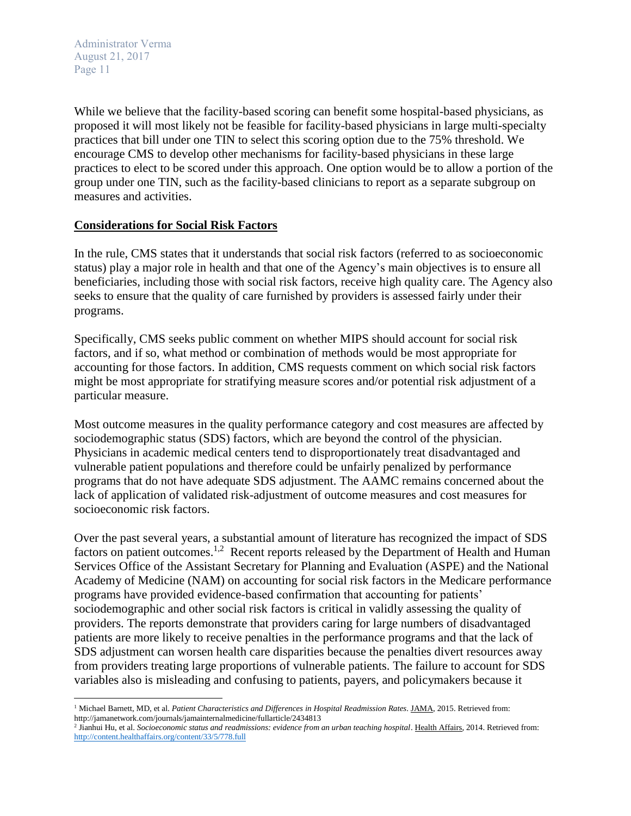$\overline{a}$ 

While we believe that the facility-based scoring can benefit some hospital-based physicians, as proposed it will most likely not be feasible for facility-based physicians in large multi-specialty practices that bill under one TIN to select this scoring option due to the 75% threshold. We encourage CMS to develop other mechanisms for facility-based physicians in these large practices to elect to be scored under this approach. One option would be to allow a portion of the group under one TIN, such as the facility-based clinicians to report as a separate subgroup on measures and activities.

#### **Considerations for Social Risk Factors**

In the rule, CMS states that it understands that social risk factors (referred to as socioeconomic status) play a major role in health and that one of the Agency's main objectives is to ensure all beneficiaries, including those with social risk factors, receive high quality care. The Agency also seeks to ensure that the quality of care furnished by providers is assessed fairly under their programs.

Specifically, CMS seeks public comment on whether MIPS should account for social risk factors, and if so, what method or combination of methods would be most appropriate for accounting for those factors. In addition, CMS requests comment on which social risk factors might be most appropriate for stratifying measure scores and/or potential risk adjustment of a particular measure.

Most outcome measures in the quality performance category and cost measures are affected by sociodemographic status (SDS) factors, which are beyond the control of the physician. Physicians in academic medical centers tend to disproportionately treat disadvantaged and vulnerable patient populations and therefore could be unfairly penalized by performance programs that do not have adequate SDS adjustment. The AAMC remains concerned about the lack of application of validated risk-adjustment of outcome measures and cost measures for socioeconomic risk factors.

Over the past several years, a substantial amount of literature has recognized the impact of SDS factors on patient outcomes.<sup>1,2</sup> Recent reports released by the Department of Health and Human Services Office of the Assistant Secretary for Planning and Evaluation (ASPE) and the National Academy of Medicine (NAM) on accounting for social risk factors in the Medicare performance programs have provided evidence-based confirmation that accounting for patients' sociodemographic and other social risk factors is critical in validly assessing the quality of providers. The reports demonstrate that providers caring for large numbers of disadvantaged patients are more likely to receive penalties in the performance programs and that the lack of SDS adjustment can worsen health care disparities because the penalties divert resources away from providers treating large proportions of vulnerable patients. The failure to account for SDS variables also is misleading and confusing to patients, payers, and policymakers because it

<sup>1</sup> Michael Barnett, MD, et al. *Patient Characteristics and Differences in Hospital Readmission Rates*. JAMA, 2015. Retrieved from: http://jamanetwork.com/journals/jamainternalmedicine/fullarticle/2434813

<sup>&</sup>lt;sup>2</sup> Jianhui Hu, et al. *Socioeconomic status and readmissions: evidence from an urban teaching hospital*. Health Affairs, 2014. Retrieved from: <http://content.healthaffairs.org/content/33/5/778.full>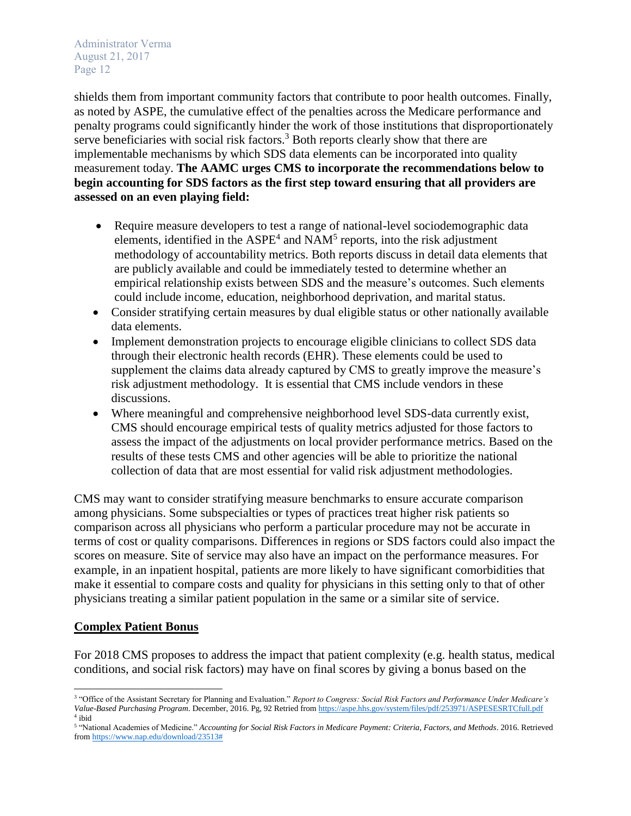shields them from important community factors that contribute to poor health outcomes. Finally, as noted by ASPE, the cumulative effect of the penalties across the Medicare performance and penalty programs could significantly hinder the work of those institutions that disproportionately serve beneficiaries with social risk factors. $3$  Both reports clearly show that there are implementable mechanisms by which SDS data elements can be incorporated into quality measurement today. **The AAMC urges CMS to incorporate the recommendations below to begin accounting for SDS factors as the first step toward ensuring that all providers are assessed on an even playing field:** 

- Require measure developers to test a range of national-level sociodemographic data elements, identified in the  $ASPE<sup>4</sup>$  and  $NAM<sup>5</sup>$  reports, into the risk adjustment methodology of accountability metrics. Both reports discuss in detail data elements that are publicly available and could be immediately tested to determine whether an empirical relationship exists between SDS and the measure's outcomes. Such elements could include income, education, neighborhood deprivation, and marital status.
- Consider stratifying certain measures by dual eligible status or other nationally available data elements.
- Implement demonstration projects to encourage eligible clinicians to collect SDS data through their electronic health records (EHR). These elements could be used to supplement the claims data already captured by CMS to greatly improve the measure's risk adjustment methodology. It is essential that CMS include vendors in these discussions.
- Where meaningful and comprehensive neighborhood level SDS-data currently exist, CMS should encourage empirical tests of quality metrics adjusted for those factors to assess the impact of the adjustments on local provider performance metrics. Based on the results of these tests CMS and other agencies will be able to prioritize the national collection of data that are most essential for valid risk adjustment methodologies.

CMS may want to consider stratifying measure benchmarks to ensure accurate comparison among physicians. Some subspecialties or types of practices treat higher risk patients so comparison across all physicians who perform a particular procedure may not be accurate in terms of cost or quality comparisons. Differences in regions or SDS factors could also impact the scores on measure. Site of service may also have an impact on the performance measures. For example, in an inpatient hospital, patients are more likely to have significant comorbidities that make it essential to compare costs and quality for physicians in this setting only to that of other physicians treating a similar patient population in the same or a similar site of service.

#### **Complex Patient Bonus**

For 2018 CMS proposes to address the impact that patient complexity (e.g. health status, medical conditions, and social risk factors) may have on final scores by giving a bonus based on the

 $\overline{\phantom{a}}$ <sup>3</sup> "Office of the Assistant Secretary for Planning and Evaluation." *Report to Congress: Social Risk Factors and Performance Under Medicare's Value-Based Purchasing Program*. December, 2016. Pg, 92 Retried fro[m https://aspe.hhs.gov/system/files/pdf/253971/ASPESESRTCfull.pdf](https://aspe.hhs.gov/system/files/pdf/253971/ASPESESRTCfull.pdf) 4 ibid

<sup>5</sup> "National Academies of Medicine." *Accounting for Social Risk Factors in Medicare Payment: Criteria, Factors, and Methods*. 2016. Retrieved fro[m https://www.nap.edu/download/23513#](https://www.nap.edu/download/23513)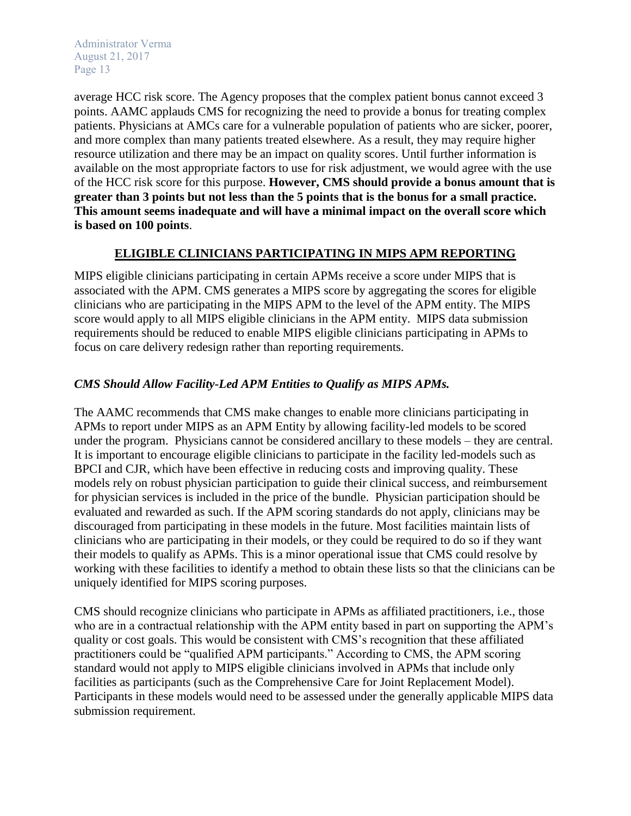average HCC risk score. The Agency proposes that the complex patient bonus cannot exceed 3 points. AAMC applauds CMS for recognizing the need to provide a bonus for treating complex patients. Physicians at AMCs care for a vulnerable population of patients who are sicker, poorer, and more complex than many patients treated elsewhere. As a result, they may require higher resource utilization and there may be an impact on quality scores. Until further information is available on the most appropriate factors to use for risk adjustment, we would agree with the use of the HCC risk score for this purpose. **However, CMS should provide a bonus amount that is greater than 3 points but not less than the 5 points that is the bonus for a small practice. This amount seems inadequate and will have a minimal impact on the overall score which is based on 100 points**.

## **ELIGIBLE CLINICIANS PARTICIPATING IN MIPS APM REPORTING**

MIPS eligible clinicians participating in certain APMs receive a score under MIPS that is associated with the APM. CMS generates a MIPS score by aggregating the scores for eligible clinicians who are participating in the MIPS APM to the level of the APM entity. The MIPS score would apply to all MIPS eligible clinicians in the APM entity. MIPS data submission requirements should be reduced to enable MIPS eligible clinicians participating in APMs to focus on care delivery redesign rather than reporting requirements.

## *CMS Should Allow Facility-Led APM Entities to Qualify as MIPS APMs.*

The AAMC recommends that CMS make changes to enable more clinicians participating in APMs to report under MIPS as an APM Entity by allowing facility-led models to be scored under the program. Physicians cannot be considered ancillary to these models – they are central. It is important to encourage eligible clinicians to participate in the facility led-models such as BPCI and CJR, which have been effective in reducing costs and improving quality. These models rely on robust physician participation to guide their clinical success, and reimbursement for physician services is included in the price of the bundle. Physician participation should be evaluated and rewarded as such. If the APM scoring standards do not apply, clinicians may be discouraged from participating in these models in the future. Most facilities maintain lists of clinicians who are participating in their models, or they could be required to do so if they want their models to qualify as APMs. This is a minor operational issue that CMS could resolve by working with these facilities to identify a method to obtain these lists so that the clinicians can be uniquely identified for MIPS scoring purposes.

CMS should recognize clinicians who participate in APMs as affiliated practitioners, i.e., those who are in a contractual relationship with the APM entity based in part on supporting the APM's quality or cost goals. This would be consistent with CMS's recognition that these affiliated practitioners could be "qualified APM participants." According to CMS, the APM scoring standard would not apply to MIPS eligible clinicians involved in APMs that include only facilities as participants (such as the Comprehensive Care for Joint Replacement Model). Participants in these models would need to be assessed under the generally applicable MIPS data submission requirement.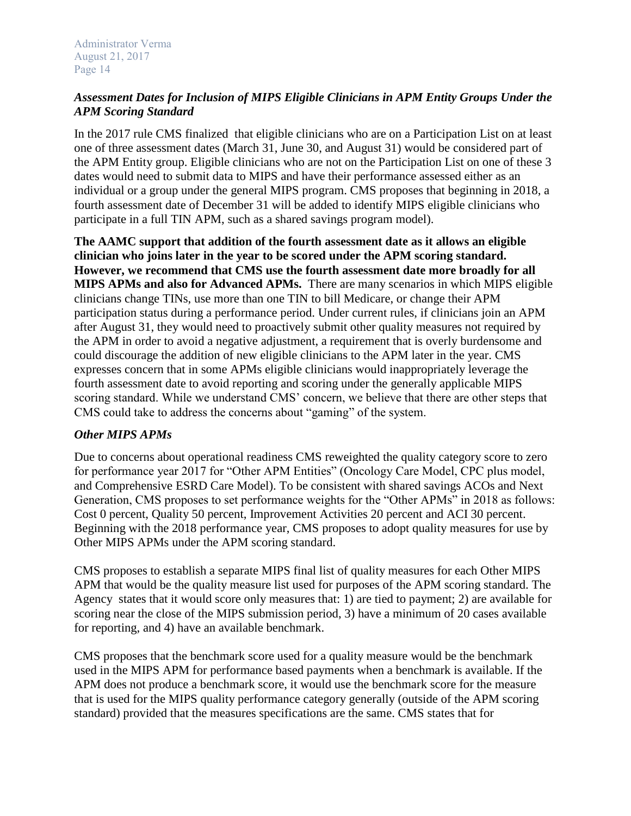# *Assessment Dates for Inclusion of MIPS Eligible Clinicians in APM Entity Groups Under the APM Scoring Standard*

In the 2017 rule CMS finalized that eligible clinicians who are on a Participation List on at least one of three assessment dates (March 31, June 30, and August 31) would be considered part of the APM Entity group. Eligible clinicians who are not on the Participation List on one of these 3 dates would need to submit data to MIPS and have their performance assessed either as an individual or a group under the general MIPS program. CMS proposes that beginning in 2018, a fourth assessment date of December 31 will be added to identify MIPS eligible clinicians who participate in a full TIN APM, such as a shared savings program model).

**The AAMC support that addition of the fourth assessment date as it allows an eligible clinician who joins later in the year to be scored under the APM scoring standard. However, we recommend that CMS use the fourth assessment date more broadly for all MIPS APMs and also for Advanced APMs.** There are many scenarios in which MIPS eligible clinicians change TINs, use more than one TIN to bill Medicare, or change their APM participation status during a performance period. Under current rules, if clinicians join an APM after August 31, they would need to proactively submit other quality measures not required by the APM in order to avoid a negative adjustment, a requirement that is overly burdensome and could discourage the addition of new eligible clinicians to the APM later in the year. CMS expresses concern that in some APMs eligible clinicians would inappropriately leverage the fourth assessment date to avoid reporting and scoring under the generally applicable MIPS scoring standard. While we understand CMS' concern, we believe that there are other steps that CMS could take to address the concerns about "gaming" of the system.

# *Other MIPS APMs*

Due to concerns about operational readiness CMS reweighted the quality category score to zero for performance year 2017 for "Other APM Entities" (Oncology Care Model, CPC plus model, and Comprehensive ESRD Care Model). To be consistent with shared savings ACOs and Next Generation, CMS proposes to set performance weights for the "Other APMs" in 2018 as follows: Cost 0 percent, Quality 50 percent, Improvement Activities 20 percent and ACI 30 percent. Beginning with the 2018 performance year, CMS proposes to adopt quality measures for use by Other MIPS APMs under the APM scoring standard.

CMS proposes to establish a separate MIPS final list of quality measures for each Other MIPS APM that would be the quality measure list used for purposes of the APM scoring standard. The Agency states that it would score only measures that: 1) are tied to payment; 2) are available for scoring near the close of the MIPS submission period, 3) have a minimum of 20 cases available for reporting, and 4) have an available benchmark.

CMS proposes that the benchmark score used for a quality measure would be the benchmark used in the MIPS APM for performance based payments when a benchmark is available. If the APM does not produce a benchmark score, it would use the benchmark score for the measure that is used for the MIPS quality performance category generally (outside of the APM scoring standard) provided that the measures specifications are the same. CMS states that for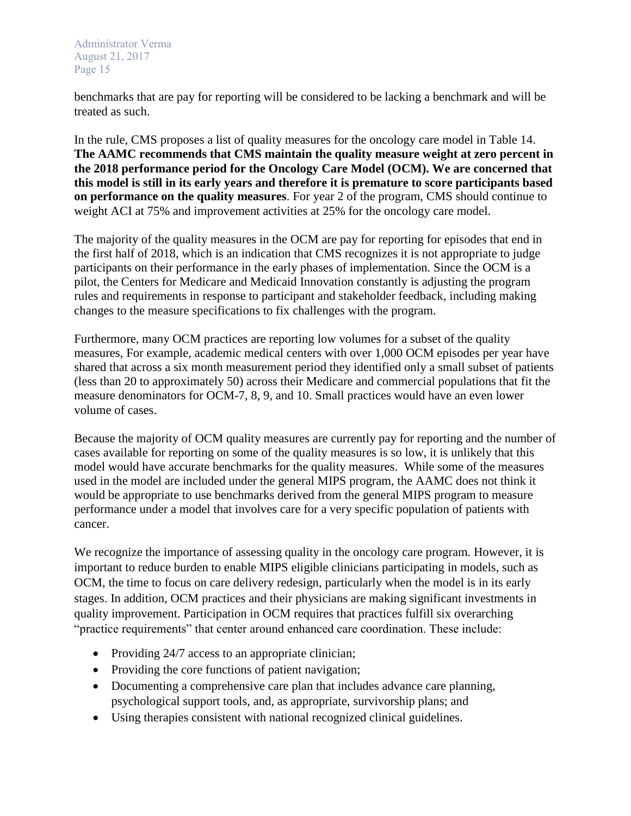benchmarks that are pay for reporting will be considered to be lacking a benchmark and will be treated as such.

In the rule, CMS proposes a list of quality measures for the oncology care model in Table 14. **The AAMC recommends that CMS maintain the quality measure weight at zero percent in the 2018 performance period for the Oncology Care Model (OCM). We are concerned that this model is still in its early years and therefore it is premature to score participants based on performance on the quality measures**. For year 2 of the program, CMS should continue to weight ACI at 75% and improvement activities at 25% for the oncology care model.

The majority of the quality measures in the OCM are pay for reporting for episodes that end in the first half of 2018, which is an indication that CMS recognizes it is not appropriate to judge participants on their performance in the early phases of implementation. Since the OCM is a pilot, the Centers for Medicare and Medicaid Innovation constantly is adjusting the program rules and requirements in response to participant and stakeholder feedback, including making changes to the measure specifications to fix challenges with the program.

Furthermore, many OCM practices are reporting low volumes for a subset of the quality measures, For example, academic medical centers with over 1,000 OCM episodes per year have shared that across a six month measurement period they identified only a small subset of patients (less than 20 to approximately 50) across their Medicare and commercial populations that fit the measure denominators for OCM-7, 8, 9, and 10. Small practices would have an even lower volume of cases.

Because the majority of OCM quality measures are currently pay for reporting and the number of cases available for reporting on some of the quality measures is so low, it is unlikely that this model would have accurate benchmarks for the quality measures. While some of the measures used in the model are included under the general MIPS program, the AAMC does not think it would be appropriate to use benchmarks derived from the general MIPS program to measure performance under a model that involves care for a very specific population of patients with cancer.

We recognize the importance of assessing quality in the oncology care program. However, it is important to reduce burden to enable MIPS eligible clinicians participating in models, such as OCM, the time to focus on care delivery redesign, particularly when the model is in its early stages. In addition, OCM practices and their physicians are making significant investments in quality improvement. Participation in OCM requires that practices fulfill six overarching "practice requirements" that center around enhanced care coordination. These include:

- Providing 24/7 access to an appropriate clinician;
- Providing the core functions of patient navigation;
- Documenting a comprehensive care plan that includes advance care planning, psychological support tools, and, as appropriate, survivorship plans; and
- Using therapies consistent with national recognized clinical guidelines.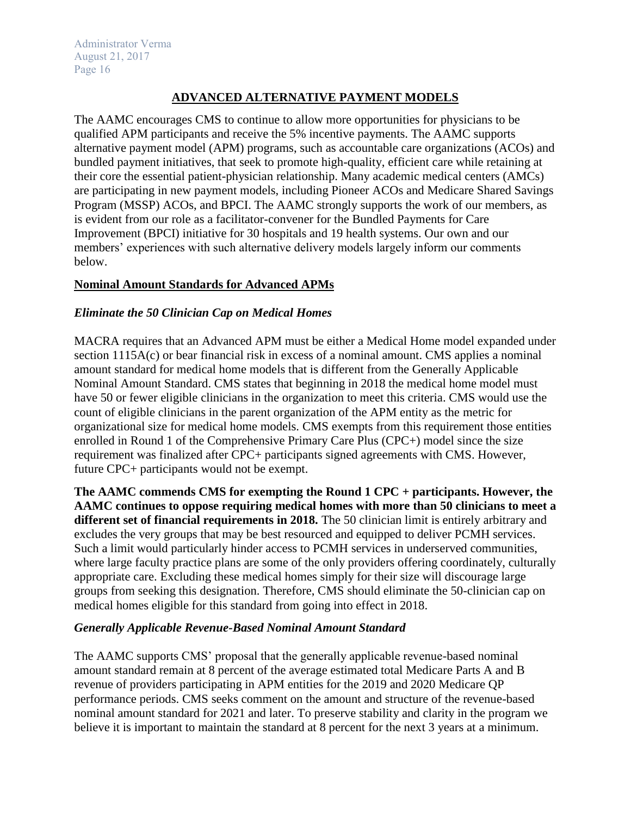# **ADVANCED ALTERNATIVE PAYMENT MODELS**

The AAMC encourages CMS to continue to allow more opportunities for physicians to be qualified APM participants and receive the 5% incentive payments. The AAMC supports alternative payment model (APM) programs, such as accountable care organizations (ACOs) and bundled payment initiatives, that seek to promote high-quality, efficient care while retaining at their core the essential patient-physician relationship. Many academic medical centers (AMCs) are participating in new payment models, including Pioneer ACOs and Medicare Shared Savings Program (MSSP) ACOs, and BPCI. The AAMC strongly supports the work of our members, as is evident from our role as a facilitator-convener for the Bundled Payments for Care Improvement (BPCI) initiative for 30 hospitals and 19 health systems. Our own and our members' experiences with such alternative delivery models largely inform our comments below.

# **Nominal Amount Standards for Advanced APMs**

## *Eliminate the 50 Clinician Cap on Medical Homes*

MACRA requires that an Advanced APM must be either a Medical Home model expanded under section 1115A(c) or bear financial risk in excess of a nominal amount. CMS applies a nominal amount standard for medical home models that is different from the Generally Applicable Nominal Amount Standard. CMS states that beginning in 2018 the medical home model must have 50 or fewer eligible clinicians in the organization to meet this criteria. CMS would use the count of eligible clinicians in the parent organization of the APM entity as the metric for organizational size for medical home models. CMS exempts from this requirement those entities enrolled in Round 1 of the Comprehensive Primary Care Plus (CPC+) model since the size requirement was finalized after CPC+ participants signed agreements with CMS. However, future CPC+ participants would not be exempt.

**The AAMC commends CMS for exempting the Round 1 CPC + participants. However, the AAMC continues to oppose requiring medical homes with more than 50 clinicians to meet a different set of financial requirements in 2018.** The 50 clinician limit is entirely arbitrary and excludes the very groups that may be best resourced and equipped to deliver PCMH services. Such a limit would particularly hinder access to PCMH services in underserved communities, where large faculty practice plans are some of the only providers offering coordinately, culturally appropriate care. Excluding these medical homes simply for their size will discourage large groups from seeking this designation. Therefore, CMS should eliminate the 50-clinician cap on medical homes eligible for this standard from going into effect in 2018.

## *Generally Applicable Revenue-Based Nominal Amount Standard*

The AAMC supports CMS' proposal that the generally applicable revenue-based nominal amount standard remain at 8 percent of the average estimated total Medicare Parts A and B revenue of providers participating in APM entities for the 2019 and 2020 Medicare QP performance periods. CMS seeks comment on the amount and structure of the revenue-based nominal amount standard for 2021 and later. To preserve stability and clarity in the program we believe it is important to maintain the standard at 8 percent for the next 3 years at a minimum.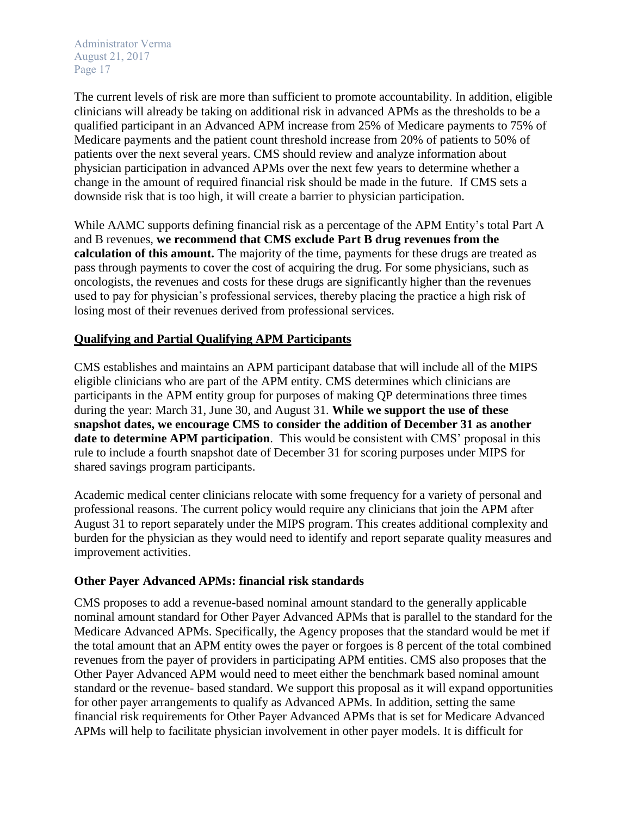The current levels of risk are more than sufficient to promote accountability. In addition, eligible clinicians will already be taking on additional risk in advanced APMs as the thresholds to be a qualified participant in an Advanced APM increase from 25% of Medicare payments to 75% of Medicare payments and the patient count threshold increase from 20% of patients to 50% of patients over the next several years. CMS should review and analyze information about physician participation in advanced APMs over the next few years to determine whether a change in the amount of required financial risk should be made in the future. If CMS sets a downside risk that is too high, it will create a barrier to physician participation.

While AAMC supports defining financial risk as a percentage of the APM Entity's total Part A and B revenues, **we recommend that CMS exclude Part B drug revenues from the calculation of this amount.** The majority of the time, payments for these drugs are treated as pass through payments to cover the cost of acquiring the drug. For some physicians, such as oncologists, the revenues and costs for these drugs are significantly higher than the revenues used to pay for physician's professional services, thereby placing the practice a high risk of losing most of their revenues derived from professional services.

## **Qualifying and Partial Qualifying APM Participants**

CMS establishes and maintains an APM participant database that will include all of the MIPS eligible clinicians who are part of the APM entity. CMS determines which clinicians are participants in the APM entity group for purposes of making QP determinations three times during the year: March 31, June 30, and August 31. **While we support the use of these snapshot dates, we encourage CMS to consider the addition of December 31 as another date to determine APM participation**. This would be consistent with CMS' proposal in this rule to include a fourth snapshot date of December 31 for scoring purposes under MIPS for shared savings program participants.

Academic medical center clinicians relocate with some frequency for a variety of personal and professional reasons. The current policy would require any clinicians that join the APM after August 31 to report separately under the MIPS program. This creates additional complexity and burden for the physician as they would need to identify and report separate quality measures and improvement activities.

## **Other Payer Advanced APMs: financial risk standards**

CMS proposes to add a revenue-based nominal amount standard to the generally applicable nominal amount standard for Other Payer Advanced APMs that is parallel to the standard for the Medicare Advanced APMs. Specifically, the Agency proposes that the standard would be met if the total amount that an APM entity owes the payer or forgoes is 8 percent of the total combined revenues from the payer of providers in participating APM entities. CMS also proposes that the Other Payer Advanced APM would need to meet either the benchmark based nominal amount standard or the revenue- based standard. We support this proposal as it will expand opportunities for other payer arrangements to qualify as Advanced APMs. In addition, setting the same financial risk requirements for Other Payer Advanced APMs that is set for Medicare Advanced APMs will help to facilitate physician involvement in other payer models. It is difficult for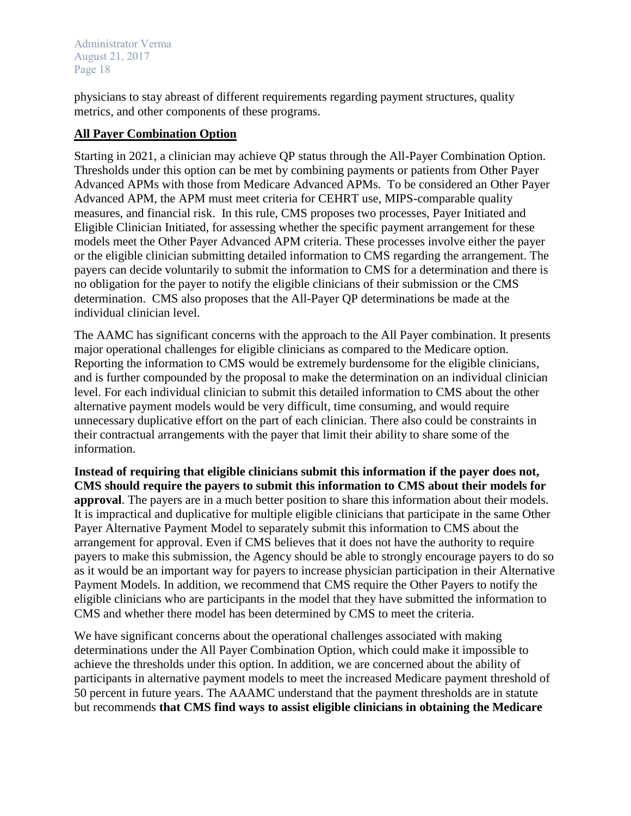physicians to stay abreast of different requirements regarding payment structures, quality metrics, and other components of these programs.

### **All Payer Combination Option**

Starting in 2021, a clinician may achieve QP status through the All-Payer Combination Option. Thresholds under this option can be met by combining payments or patients from Other Payer Advanced APMs with those from Medicare Advanced APMs. To be considered an Other Payer Advanced APM, the APM must meet criteria for CEHRT use, MIPS-comparable quality measures, and financial risk. In this rule, CMS proposes two processes, Payer Initiated and Eligible Clinician Initiated, for assessing whether the specific payment arrangement for these models meet the Other Payer Advanced APM criteria. These processes involve either the payer or the eligible clinician submitting detailed information to CMS regarding the arrangement. The payers can decide voluntarily to submit the information to CMS for a determination and there is no obligation for the payer to notify the eligible clinicians of their submission or the CMS determination. CMS also proposes that the All-Payer QP determinations be made at the individual clinician level.

The AAMC has significant concerns with the approach to the All Payer combination. It presents major operational challenges for eligible clinicians as compared to the Medicare option. Reporting the information to CMS would be extremely burdensome for the eligible clinicians, and is further compounded by the proposal to make the determination on an individual clinician level. For each individual clinician to submit this detailed information to CMS about the other alternative payment models would be very difficult, time consuming, and would require unnecessary duplicative effort on the part of each clinician. There also could be constraints in their contractual arrangements with the payer that limit their ability to share some of the information.

**Instead of requiring that eligible clinicians submit this information if the payer does not, CMS should require the payers to submit this information to CMS about their models for approval**. The payers are in a much better position to share this information about their models. It is impractical and duplicative for multiple eligible clinicians that participate in the same Other Payer Alternative Payment Model to separately submit this information to CMS about the arrangement for approval. Even if CMS believes that it does not have the authority to require payers to make this submission, the Agency should be able to strongly encourage payers to do so as it would be an important way for payers to increase physician participation in their Alternative Payment Models. In addition, we recommend that CMS require the Other Payers to notify the eligible clinicians who are participants in the model that they have submitted the information to CMS and whether there model has been determined by CMS to meet the criteria.

We have significant concerns about the operational challenges associated with making determinations under the All Payer Combination Option, which could make it impossible to achieve the thresholds under this option. In addition, we are concerned about the ability of participants in alternative payment models to meet the increased Medicare payment threshold of 50 percent in future years. The AAAMC understand that the payment thresholds are in statute but recommends **that CMS find ways to assist eligible clinicians in obtaining the Medicare**